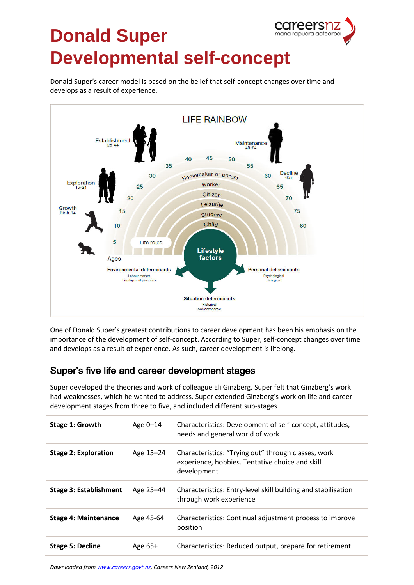

## **Donald Super Developmental self-concept**

Donald Super's career model is based on the belief that self-concept changes over time and develops as a result of experience.



One of Donald Super's greatest contributions to career development has been his emphasis on the importance of the development of self-concept. According to Super, self-concept changes over time and develops as a result of experience. As such, career development is lifelong.

## Super's five life and career development stages

Super developed the theories and work of colleague Eli Ginzberg. Super felt that Ginzberg's work had weaknesses, which he wanted to address. Super extended Ginzberg's work on life and career development stages from three to five, and included different sub-stages.

| Stage 1: Growth               | Age 0-14  | Characteristics: Development of self-concept, attitudes,<br>needs and general world of work                           |
|-------------------------------|-----------|-----------------------------------------------------------------------------------------------------------------------|
| <b>Stage 2: Exploration</b>   | Age 15-24 | Characteristics: "Trying out" through classes, work<br>experience, hobbies. Tentative choice and skill<br>development |
| <b>Stage 3: Establishment</b> | Age 25-44 | Characteristics: Entry-level skill building and stabilisation<br>through work experience                              |
| <b>Stage 4: Maintenance</b>   | Age 45-64 | Characteristics: Continual adjustment process to improve<br>position                                                  |
| <b>Stage 5: Decline</b>       | Age 65+   | Characteristics: Reduced output, prepare for retirement                                                               |